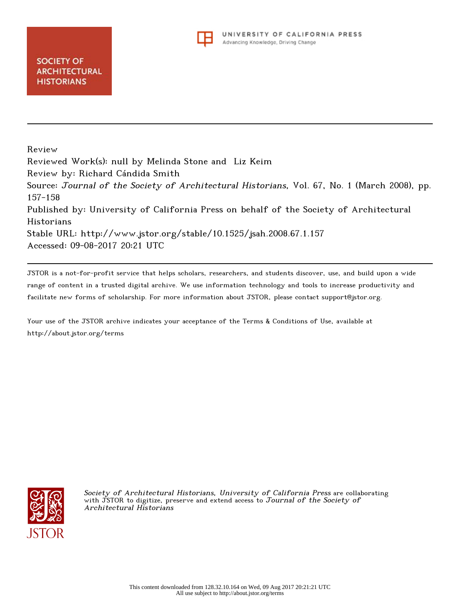

Review Reviewed Work(s): null by Melinda Stone and Liz Keim Review by: Richard Cándida Smith Source: Journal of the Society of Architectural Historians, Vol. 67, No. 1 (March 2008), pp. 157-158 Published by: University of California Press on behalf of the Society of Architectural Historians Stable URL: http://www.jstor.org/stable/10.1525/jsah.2008.67.1.157 Accessed: 09-08-2017 20:21 UTC

JSTOR is a not-for-profit service that helps scholars, researchers, and students discover, use, and build upon a wide range of content in a trusted digital archive. We use information technology and tools to increase productivity and facilitate new forms of scholarship. For more information about JSTOR, please contact support@jstor.org.

Your use of the JSTOR archive indicates your acceptance of the Terms & Conditions of Use, available at http://about.jstor.org/terms



Society of Architectural Historians, University of California Press are collaborating with JSTOR to digitize, preserve and extend access to Journal of the Society of Architectural Historians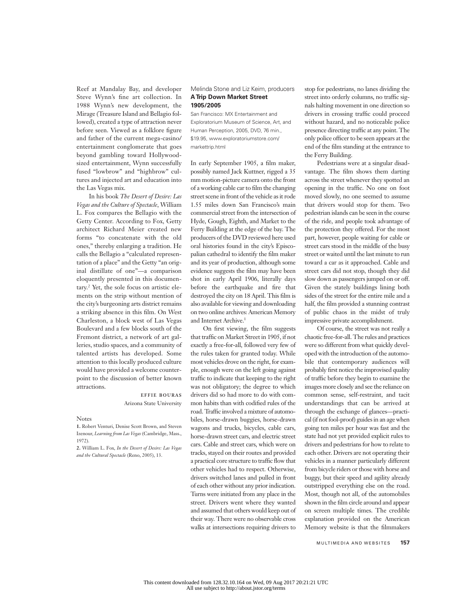Reef at Mandalay Bay, and developer Steve Wynn's fine art collection. In 1988 Wynn's new development, the Mirage (Treasure Island and Bellagio followed), created a type of attraction never before seen. Viewed as a folklore figure and father of the current mega-casino/ entertainment conglomerate that goes beyond gambling toward Hollywoodsized entertainment, Wynn successfully fused "lowbrow" and "highbrow" cultures and injected art and education into the Las Vegas mix.

In his book *The Desert of Desire: Las Vegas and the Culture of Spectacle*, William L. Fox compares the Bellagio with the Getty Center. According to Fox, Getty architect Richard Meier created new forms "to concatenate with the old ones," thereby enlarging a tradition. He calls the Bellagio a "calculated representation of a place" and the Getty "an original distillate of one"—a comparison eloquently presented in this documentary.2 Yet, the sole focus on artistic elements on the strip without mention of the city's burgeoning arts district remains a striking absence in this film. On West Charleston, a block west of Las Vegas Boulevard and a few blocks south of the Fremont district, a network of art galleries, studio spaces, and a community of talented artists has developed. Some attention to this locally produced culture would have provided a welcome counterpoint to the discussion of better known attractions.

> effie bouras Arizona State University

## Notes

**1.** Robert Venturi, Denise Scott Brown, and Steven Izenour, *Learning from Las Vegas* (Cambridge, Mass., 1972).

**2.** William L. Fox, *In the Desert of Desire: Las Vegas and the Cultural Spectacle* (Reno, 2005), 13.

Melinda Stone and Liz Keim, producers **A Trip Down Market Street 1905/2005**

San Francisco: MX Entertainment and Exploratorium Museum of Science, Art, and Human Perception, 2005, DVD, 76 min., \$19.95, www.exploratoriumstore.com/ markettrip.html

In early September 1905, a film maker, possibly named Jack Kuttner, rigged a 35 mm motion-picture camera onto the front of a working cable car to film the changing street scene in front of the vehicle as it rode 1.55 miles down San Francisco's main commercial street from the intersection of Hyde, Gough, Eighth, and Market to the Ferry Building at the edge of the bay. The producers of the DVD reviewed here used oral histories found in the city's Episcopalian cathedral to identify the film maker and its year of production, although some evidence suggests the film may have been shot in early April 1906, literally days before the earthquake and fire that destroyed the city on 18 April. This film is also available for viewing and downloading on two online archives: American Memory and Internet Archive.<sup>1</sup>

On first viewing, the film suggests that traffic on Market Street in 1905, if not exactly a free-for-all, followed very few of the rules taken for granted today. While most vehicles drove on the right, for example, enough were on the left going against traffic to indicate that keeping to the right was not obligatory; the degree to which drivers did so had more to do with common habits than with codified rules of the road. Traffic involved a mixture of automobiles, horse-drawn buggies, horse-drawn wagons and trucks, bicycles, cable cars, horse-drawn street cars, and electric street cars. Cable and street cars, which were on tracks, stayed on their routes and provided a practical core structure to traffic flow that other vehicles had to respect. Otherwise, drivers switched lanes and pulled in front of each other without any prior indication. Turns were initiated from any place in the street. Drivers went where they wanted and assumed that others would keep out of their way. There were no observable cross walks at intersections requiring drivers to

stop for pedestrians, no lanes dividing the street into orderly columns, no traffic signals halting movement in one direction so drivers in crossing traffic could proceed without hazard, and no noticeable police presence directing traffic at any point. The only police officer to be seen appears at the end of the film standing at the entrance to the Ferry Building.

Pedestrians were at a singular disadvantage. The film shows them darting across the street whenever they spotted an opening in the traffic. No one on foot moved slowly, no one seemed to assume that drivers would stop for them. Two pedestrian islands can be seen in the course of the ride, and people took advantage of the protection they offered. For the most part, however, people waiting for cable or street cars stood in the middle of the busy street or waited until the last minute to run toward a car as it approached. Cable and street cars did not stop, though they did slow down as passengers jumped on or off. Given the stately buildings lining both sides of the street for the entire mile and a half, the film provided a stunning contrast of public chaos in the midst of truly impressive private accomplishment.

Of course, the street was not really a chaotic free-for-all. The rules and practices were so different from what quickly developed with the introduction of the automobile that contemporary audiences will probably first notice the improvised quality of traffic before they begin to examine the images more closely and see the reliance on common sense, self-restraint, and tacit understandings that can be arrived at through the exchange of glances—practical (if not fool-proof) guides in an age when going ten miles per hour was fast and the state had not yet provided explicit rules to drivers and pedestrians for how to relate to each other. Drivers are not operating their vehicles in a manner particularly different from bicycle riders or those with horse and buggy, but their speed and agility already outstripped everything else on the road. Most, though not all, of the automobiles shown in the film circle around and appear on screen multiple times. The credible explanation provided on the American Memory website is that the filmmakers